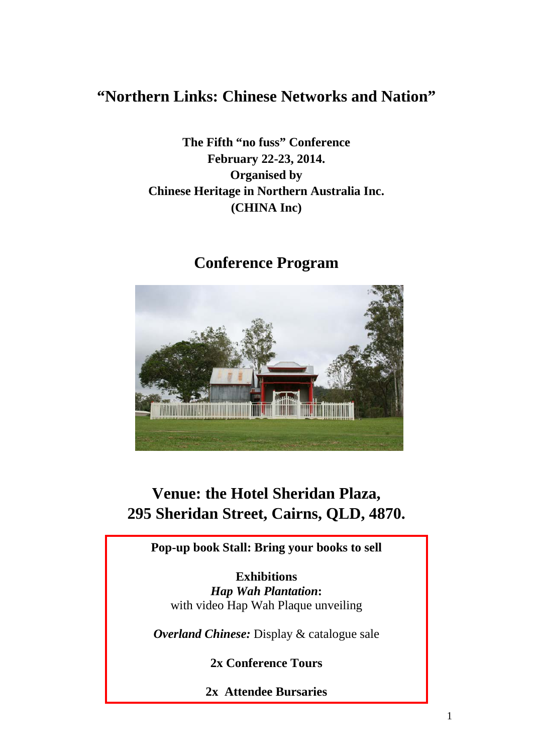# **"Northern Links: Chinese Networks and Nation"**

**The Fifth "no fuss" Conference February 22-23, 2014. Organised by Chinese Heritage in Northern Australia Inc. (CHINA Inc)**



# **Conference Program**

# **Venue: the Hotel Sheridan Plaza, 295 Sheridan Street, Cairns, QLD, 4870.**

**Pop-up book Stall: Bring your books to sell**

**Exhibitions** *Hap Wah Plantation***:**  with video Hap Wah Plaque unveiling

*Overland Chinese:* Display & catalogue sale

**2x Conference Tours**

**2x Attendee Bursaries**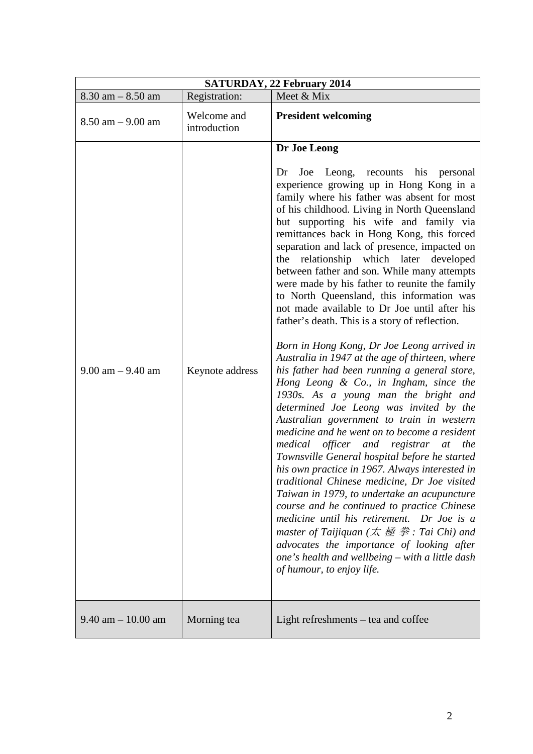| SATURDAY, 22 February 2014 |                             |                                                                                                                                                                                                                                                                                                                                                                                                                                                                                                                                                                                                                                                                                                                                                                                                                                                                                                                                                                                                                                                                                                                                                                                                                                                                                                                                                                                                                                                                                                                                                                                          |  |
|----------------------------|-----------------------------|------------------------------------------------------------------------------------------------------------------------------------------------------------------------------------------------------------------------------------------------------------------------------------------------------------------------------------------------------------------------------------------------------------------------------------------------------------------------------------------------------------------------------------------------------------------------------------------------------------------------------------------------------------------------------------------------------------------------------------------------------------------------------------------------------------------------------------------------------------------------------------------------------------------------------------------------------------------------------------------------------------------------------------------------------------------------------------------------------------------------------------------------------------------------------------------------------------------------------------------------------------------------------------------------------------------------------------------------------------------------------------------------------------------------------------------------------------------------------------------------------------------------------------------------------------------------------------------|--|
| $8.30$ am $-8.50$ am       | Registration:               | Meet & Mix                                                                                                                                                                                                                                                                                                                                                                                                                                                                                                                                                                                                                                                                                                                                                                                                                                                                                                                                                                                                                                                                                                                                                                                                                                                                                                                                                                                                                                                                                                                                                                               |  |
| $8.50$ am $- 9.00$ am      | Welcome and<br>introduction | <b>President welcoming</b>                                                                                                                                                                                                                                                                                                                                                                                                                                                                                                                                                                                                                                                                                                                                                                                                                                                                                                                                                                                                                                                                                                                                                                                                                                                                                                                                                                                                                                                                                                                                                               |  |
| $9.00$ am $- 9.40$ am      | Keynote address             | Dr Joe Leong<br>Dr<br>Joe Leong, recounts his personal<br>experience growing up in Hong Kong in a<br>family where his father was absent for most<br>of his childhood. Living in North Queensland<br>but supporting his wife and family via<br>remittances back in Hong Kong, this forced<br>separation and lack of presence, impacted on<br>relationship which later developed<br>the<br>between father and son. While many attempts<br>were made by his father to reunite the family<br>to North Queensland, this information was<br>not made available to Dr Joe until after his<br>father's death. This is a story of reflection.<br>Born in Hong Kong, Dr Joe Leong arrived in<br>Australia in 1947 at the age of thirteen, where<br>his father had been running a general store,<br>Hong Leong & Co., in Ingham, since the<br>1930s. As a young man the bright and<br>determined Joe Leong was invited by the<br>Australian government to train in western<br>medicine and he went on to become a resident<br>medical officer and registrar at the<br>Townsville General hospital before he started<br>his own practice in 1967. Always interested in<br>traditional Chinese medicine, Dr Joe visited<br>Taiwan in 1979, to undertake an acupuncture<br>course and he continued to practice Chinese<br>medicine until his retirement. Dr Joe is a<br>master of Taijiquan ( $\dot{\mathcal{R}}$ $\dot{\mathcal{B}}$ $\ddot{\mathcal{B}}$ : Tai Chi) and<br>advocates the importance of looking after<br>one's health and wellbeing – with a little dash<br>of humour, to enjoy life. |  |
| $9.40$ am $-10.00$ am      | Morning tea                 | Light refreshments – tea and coffee                                                                                                                                                                                                                                                                                                                                                                                                                                                                                                                                                                                                                                                                                                                                                                                                                                                                                                                                                                                                                                                                                                                                                                                                                                                                                                                                                                                                                                                                                                                                                      |  |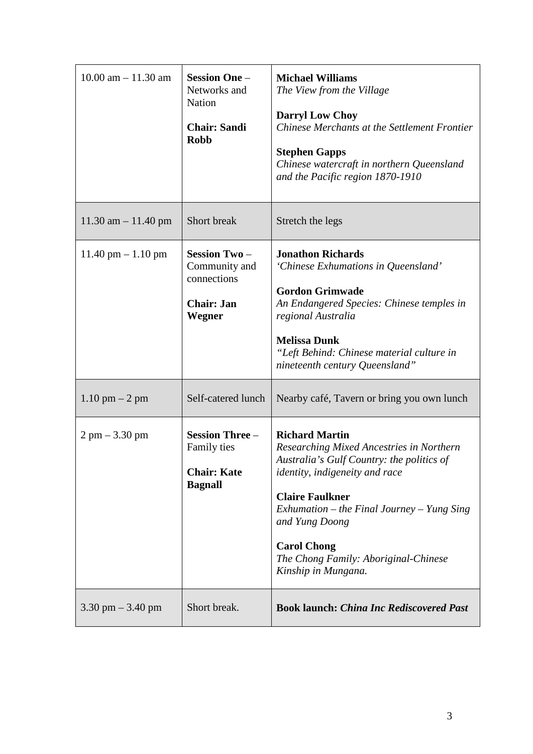| $10.00$ am $- 11.30$ am              | <b>Session One -</b><br>Networks and<br><b>Nation</b><br><b>Chair: Sandi</b><br><b>Robb</b> | <b>Michael Williams</b><br>The View from the Village<br><b>Darryl Low Choy</b><br>Chinese Merchants at the Settlement Frontier<br><b>Stephen Gapps</b><br>Chinese watercraft in northern Queensland<br>and the Pacific region 1870-1910                                                                                                |
|--------------------------------------|---------------------------------------------------------------------------------------------|----------------------------------------------------------------------------------------------------------------------------------------------------------------------------------------------------------------------------------------------------------------------------------------------------------------------------------------|
| $11.30$ am $-11.40$ pm               | Short break                                                                                 | Stretch the legs                                                                                                                                                                                                                                                                                                                       |
| $11.40 \text{ pm} - 1.10 \text{ pm}$ | <b>Session Two-</b><br>Community and<br>connections<br><b>Chair: Jan</b><br>Wegner          | <b>Jonathon Richards</b><br>'Chinese Exhumations in Queensland'<br><b>Gordon Grimwade</b><br>An Endangered Species: Chinese temples in<br>regional Australia<br><b>Melissa Dunk</b><br>"Left Behind: Chinese material culture in<br>nineteenth century Queensland"                                                                     |
| $1.10 \text{ pm} - 2 \text{ pm}$     | Self-catered lunch                                                                          | Nearby café, Tavern or bring you own lunch                                                                                                                                                                                                                                                                                             |
| $2 \text{ pm} - 3.30 \text{ pm}$     | <b>Session Three -</b><br>Family ties<br><b>Chair: Kate</b><br><b>Bagnall</b>               | <b>Richard Martin</b><br>Researching Mixed Ancestries in Northern<br>Australia's Gulf Country: the politics of<br><i>identity, indigeneity and race</i><br><b>Claire Faulkner</b><br>Exhumation – the Final Journey – Yung Sing<br>and Yung Doong<br><b>Carol Chong</b><br>The Chong Family: Aboriginal-Chinese<br>Kinship in Mungana. |
| $3.30 \text{ pm} - 3.40 \text{ pm}$  | Short break.                                                                                | <b>Book launch: China Inc Rediscovered Past</b>                                                                                                                                                                                                                                                                                        |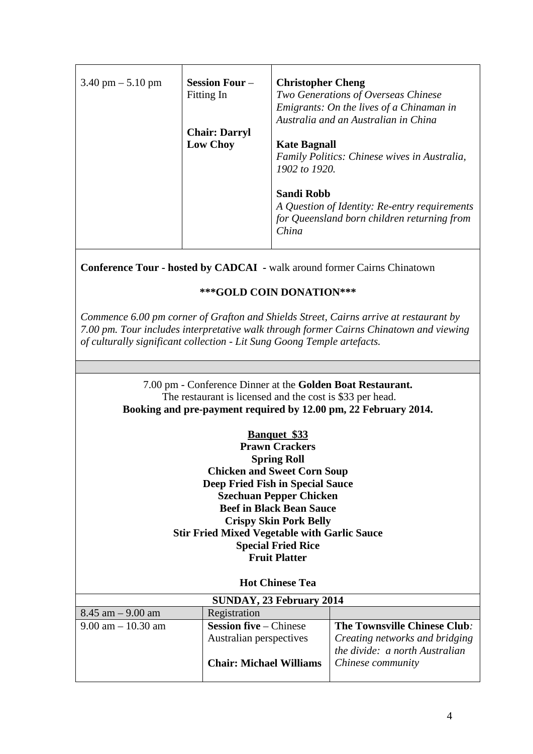| $3.40 \text{ pm} - 5.10 \text{ pm}$ | <b>Session Four</b> –<br>Fitting In | <b>Christopher Cheng</b><br>Two Generations of Overseas Chinese<br>Emigrants: On the lives of a Chinaman in                |
|-------------------------------------|-------------------------------------|----------------------------------------------------------------------------------------------------------------------------|
|                                     | <b>Chair: Darryl</b>                | Australia and an Australian in China                                                                                       |
|                                     | <b>Low Choy</b>                     | <b>Kate Bagnall</b><br>Family Politics: Chinese wives in Australia,<br>1902 to 1920.                                       |
|                                     |                                     | <b>Sandi Robb</b><br>A Question of Identity: Re-entry requirements<br>for Queensland born children returning from<br>China |

**Conference Tour - hosted by CADCAI -** walk around former Cairns Chinatown

## **\*\*\*GOLD COIN DONATION\*\*\***

*Commence 6.00 pm corner of Grafton and Shields Street, Cairns arrive at restaurant by 7.00 pm. Tour includes interpretative walk through former Cairns Chinatown and viewing of culturally significant collection - Lit Sung Goong Temple artefacts.*

> 7.00 pm - Conference Dinner at the **Golden Boat Restaurant.** The restaurant is licensed and the cost is \$33 per head. **Booking and pre-payment required by 12.00 pm, 22 February 2014.**

> > **Banquet \$33**

**Prawn Crackers Spring Roll Chicken and Sweet Corn Soup Deep Fried Fish in Special Sauce Szechuan Pepper Chicken Beef in Black Bean Sauce Crispy Skin Pork Belly Stir Fried Mixed Vegetable with Garlic Sauce Special Fried Rice Fruit Platter**

**Hot Chinese Tea**

| SUNDAY, 23 February 2014 |                                |                                |  |
|--------------------------|--------------------------------|--------------------------------|--|
| $8.45$ am $-9.00$ am     | Registration                   |                                |  |
| $9.00$ am $-10.30$ am    | <b>Session five</b> – Chinese  | The Townsville Chinese Club.   |  |
|                          | Australian perspectives        | Creating networks and bridging |  |
|                          |                                | the divide: a north Australian |  |
|                          | <b>Chair: Michael Williams</b> | Chinese community              |  |
|                          |                                |                                |  |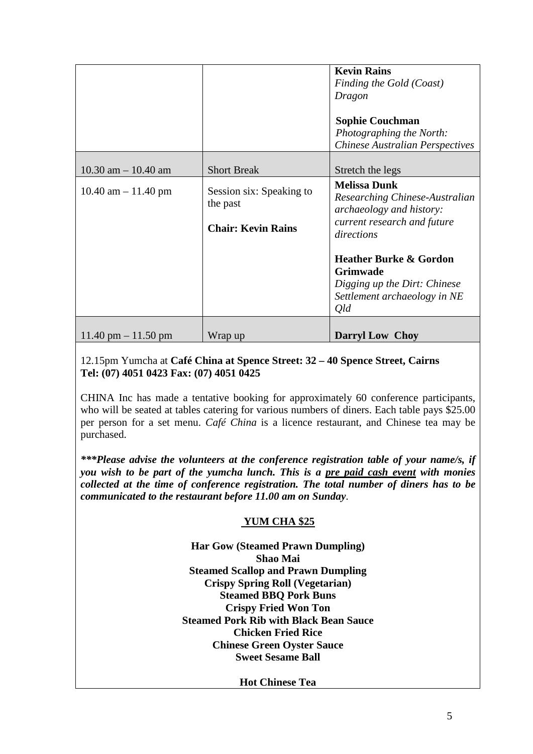|                                       |                                      | <b>Kevin Rains</b><br>Finding the Gold (Coast)<br>Dragon<br><b>Sophie Couchman</b><br>Photographing the North:<br><b>Chinese Australian Perspectives</b> |
|---------------------------------------|--------------------------------------|----------------------------------------------------------------------------------------------------------------------------------------------------------|
| $10.30$ am $- 10.40$ am               | <b>Short Break</b>                   | Stretch the legs                                                                                                                                         |
| $10.40$ am $- 11.40$ pm               | Session six: Speaking to<br>the past | <b>Melissa Dunk</b><br>Researching Chinese-Australian<br>archaeology and history:                                                                        |
|                                       | <b>Chair: Kevin Rains</b>            | current research and future<br>directions                                                                                                                |
|                                       |                                      | <b>Heather Burke &amp; Gordon</b><br>Grimwade<br>Digging up the Dirt: Chinese<br>Settlement archaeology in NE<br>Qld                                     |
| $11.40 \text{ pm} - 11.50 \text{ pm}$ | Wrap up                              | <b>Darryl Low Choy</b>                                                                                                                                   |

## 12.15pm Yumcha at **Café China at Spence Street: 32 – 40 Spence Street, Cairns Tel: (07) 4051 0423 Fax: (07) 4051 0425**

CHINA Inc has made a tentative booking for approximately 60 conference participants, who will be seated at tables catering for various numbers of diners. Each table pays \$25.00 per person for a set menu. *Café China* is a licence restaurant, and Chinese tea may be purchased.

*\*\*\*Please advise the volunteers at the conference registration table of your name/s, if you wish to be part of the yumcha lunch. This is a pre paid cash event with monies collected at the time of conference registration. The total number of diners has to be communicated to the restaurant before 11.00 am on Sunday*.

## **YUM CHA \$25**

**Har Gow (Steamed Prawn Dumpling) Shao Mai Steamed Scallop and Prawn Dumpling Crispy Spring Roll (Vegetarian) Steamed BBQ Pork Buns Crispy Fried Won Ton Steamed Pork Rib with Black Bean Sauce Chicken Fried Rice Chinese Green Oyster Sauce Sweet Sesame Ball**

**Hot Chinese Tea**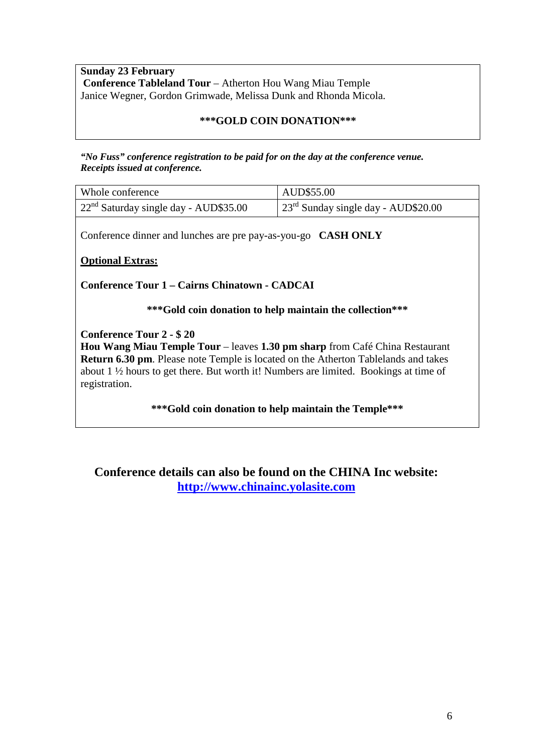**Sunday 23 February Conference Tableland Tour** – Atherton Hou Wang Miau Temple Janice Wegner, Gordon Grimwade, Melissa Dunk and Rhonda Micola.

## **\*\*\*GOLD COIN DONATION\*\*\***

*"No Fuss" conference registration to be paid for on the day at the conference venue. Receipts issued at conference.*

| Whole conference                                     | AUD\$55.00                                    |
|------------------------------------------------------|-----------------------------------------------|
| $\frac{22^{nd}}{3}$ Saturday single day - AUD\$35.00 | $\int 23^{rd}$ Sunday single day - AUD\$20.00 |

Conference dinner and lunches are pre pay-as-you-go **CASH ONLY**

**Optional Extras:** 

**Conference Tour 1 – Cairns Chinatown - CADCAI** 

**\*\*\*Gold coin donation to help maintain the collection\*\*\***

### **Conference Tour 2 - \$ 20**

**Hou Wang Miau Temple Tour** – leaves **1.30 pm sharp** from Café China Restaurant **Return 6.30 pm**. Please note Temple is located on the Atherton Tablelands and takes about 1 ½ hours to get there. But worth it! Numbers are limited. Bookings at time of registration.

**\*\*\*Gold coin donation to help maintain the Temple\*\*\***

**Conference details can also be found on the CHINA Inc website: [http://www.chinainc.yolasite.com](http://www.chinainc.yolasite.com/)**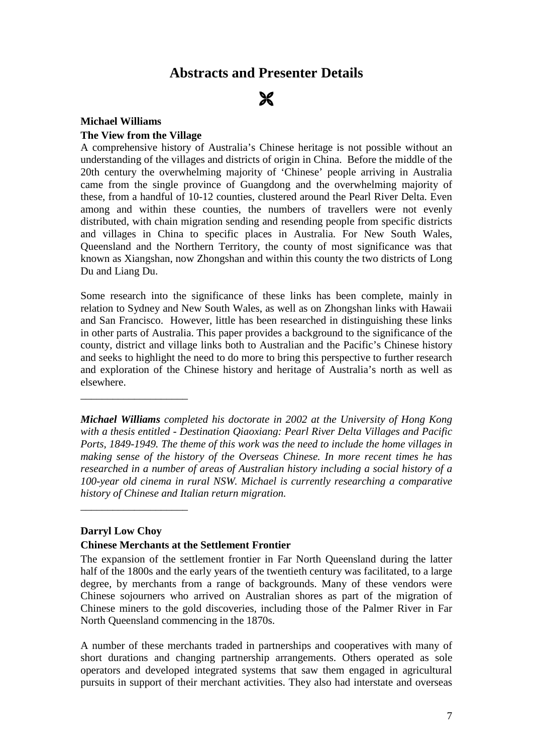# **Abstracts and Presenter Details**

# $\boldsymbol{\varkappa}$

#### **Michael Williams**

#### **The View from the Village**

A comprehensive history of Australia's Chinese heritage is not possible without an understanding of the villages and districts of origin in China. Before the middle of the 20th century the overwhelming majority of 'Chinese' people arriving in Australia came from the single province of Guangdong and the overwhelming majority of these, from a handful of 10-12 counties, clustered around the Pearl River Delta. Even among and within these counties, the numbers of travellers were not evenly distributed, with chain migration sending and resending people from specific districts and villages in China to specific places in Australia. For New South Wales, Queensland and the Northern Territory, the county of most significance was that known as Xiangshan, now Zhongshan and within this county the two districts of Long Du and Liang Du.

Some research into the significance of these links has been complete, mainly in relation to Sydney and New South Wales, as well as on Zhongshan links with Hawaii and San Francisco. However, little has been researched in distinguishing these links in other parts of Australia. This paper provides a background to the significance of the county, district and village links both to Australian and the Pacific's Chinese history and seeks to highlight the need to do more to bring this perspective to further research and exploration of the Chinese history and heritage of Australia's north as well as elsewhere.

*Michael Williams completed his doctorate in 2002 at the University of Hong Kong with a thesis entitled - Destination Qiaoxiang: Pearl River Delta Villages and Pacific Ports, 1849-1949. The theme of this work was the need to include the home villages in making sense of the history of the Overseas Chinese. In more recent times he has researched in a number of areas of Australian history including a social history of a 100-year old cinema in rural NSW. Michael is currently researching a comparative history of Chinese and Italian return migration.*

#### **Darryl Low Choy**

\_\_\_\_\_\_\_\_\_\_\_\_\_\_\_\_\_\_\_\_

\_\_\_\_\_\_\_\_\_\_\_\_\_\_\_\_\_\_\_\_

### **Chinese Merchants at the Settlement Frontier**

The expansion of the settlement frontier in Far North Queensland during the latter half of the 1800s and the early years of the twentieth century was facilitated, to a large degree, by merchants from a range of backgrounds. Many of these vendors were Chinese sojourners who arrived on Australian shores as part of the migration of Chinese miners to the gold discoveries, including those of the Palmer River in Far North Queensland commencing in the 1870s.

A number of these merchants traded in partnerships and cooperatives with many of short durations and changing partnership arrangements. Others operated as sole operators and developed integrated systems that saw them engaged in agricultural pursuits in support of their merchant activities. They also had interstate and overseas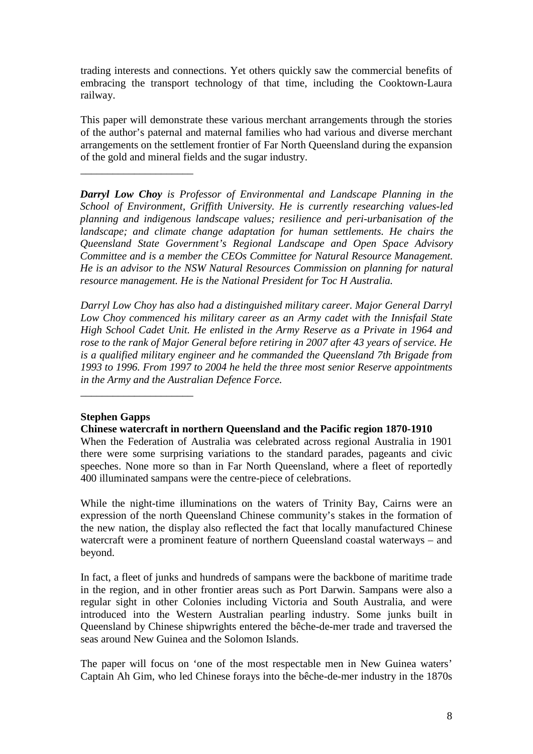trading interests and connections. Yet others quickly saw the commercial benefits of embracing the transport technology of that time, including the Cooktown-Laura railway.

This paper will demonstrate these various merchant arrangements through the stories of the author's paternal and maternal families who had various and diverse merchant arrangements on the settlement frontier of Far North Queensland during the expansion of the gold and mineral fields and the sugar industry.

*Darryl Low Choy is Professor of Environmental and Landscape Planning in the School of Environment, Griffith University. He is currently researching values-led planning and indigenous landscape values; resilience and peri-urbanisation of the landscape; and climate change adaptation for human settlements. He chairs the Queensland State Government's Regional Landscape and Open Space Advisory Committee and is a member the CEOs Committee for Natural Resource Management. He is an advisor to the NSW Natural Resources Commission on planning for natural resource management. He is the National President for Toc H Australia.*

*Darryl Low Choy has also had a distinguished military career. Major General Darryl Low Choy commenced his military career as an Army cadet with the Innisfail State High School Cadet Unit. He enlisted in the Army Reserve as a Private in 1964 and rose to the rank of Major General before retiring in 2007 after 43 years of service. He is a qualified military engineer and he commanded the Queensland 7th Brigade from 1993 to 1996. From 1997 to 2004 he held the three most senior Reserve appointments in the Army and the Australian Defence Force.*

## **Stephen Gapps**

\_\_\_\_\_\_\_\_\_\_\_\_\_\_\_\_\_\_\_\_\_

\_\_\_\_\_\_\_\_\_\_\_\_\_\_\_\_\_\_\_\_\_

## **Chinese watercraft in northern Queensland and the Pacific region 1870-1910**

When the Federation of Australia was celebrated across regional Australia in 1901 there were some surprising variations to the standard parades, pageants and civic speeches. None more so than in Far North Queensland, where a fleet of reportedly 400 illuminated sampans were the centre-piece of celebrations.

While the night-time illuminations on the waters of Trinity Bay, Cairns were an expression of the north Queensland Chinese community's stakes in the formation of the new nation, the display also reflected the fact that locally manufactured Chinese watercraft were a prominent feature of northern Queensland coastal waterways – and beyond.

In fact, a fleet of junks and hundreds of sampans were the backbone of maritime trade in the region, and in other frontier areas such as Port Darwin. Sampans were also a regular sight in other Colonies including Victoria and South Australia, and were introduced into the Western Australian pearling industry. Some junks built in Queensland by Chinese shipwrights entered the bêche-de-mer trade and traversed the seas around New Guinea and the Solomon Islands.

The paper will focus on 'one of the most respectable men in New Guinea waters' Captain Ah Gim, who led Chinese forays into the bêche-de-mer industry in the 1870s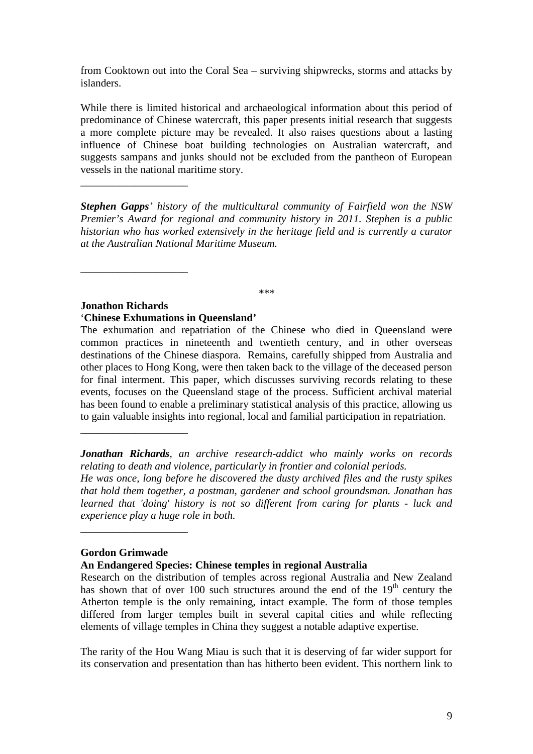from Cooktown out into the Coral Sea – surviving shipwrecks, storms and attacks by islanders.

While there is limited historical and archaeological information about this period of predominance of Chinese watercraft, this paper presents initial research that suggests a more complete picture may be revealed. It also raises questions about a lasting influence of Chinese boat building technologies on Australian watercraft, and suggests sampans and junks should not be excluded from the pantheon of European vessels in the national maritime story.

*Stephen Gapps' history of the multicultural community of Fairfield won the NSW Premier's Award for regional and community history in 2011. Stephen is a public historian who has worked extensively in the heritage field and is currently a curator at the Australian National Maritime Museum.*

*\*\*\**

#### **Jonathon Richards** '**Chinese Exhumations in Queensland'**

\_\_\_\_\_\_\_\_\_\_\_\_\_\_\_\_\_\_\_\_

\_\_\_\_\_\_\_\_\_\_\_\_\_\_\_\_\_\_\_\_

\_\_\_\_\_\_\_\_\_\_\_\_\_\_\_\_\_\_\_\_

The exhumation and repatriation of the Chinese who died in Queensland were common practices in nineteenth and twentieth century, and in other overseas destinations of the Chinese diaspora. Remains, carefully shipped from Australia and other places to Hong Kong, were then taken back to the village of the deceased person for final interment. This paper, which discusses surviving records relating to these events, focuses on the Queensland stage of the process. Sufficient archival material has been found to enable a preliminary statistical analysis of this practice, allowing us to gain valuable insights into regional, local and familial participation in repatriation.

*Jonathan Richards, an archive research-addict who mainly works on records relating to death and violence, particularly in frontier and colonial periods.* 

*He was once, long before he discovered the dusty archived files and the rusty spikes that hold them together, a postman, gardener and school groundsman. Jonathan has learned that 'doing' history is not so different from caring for plants - luck and experience play a huge role in both.*

## **Gordon Grimwade**

\_\_\_\_\_\_\_\_\_\_\_\_\_\_\_\_\_\_\_\_

**An Endangered Species: Chinese temples in regional Australia**

Research on the distribution of temples across regional Australia and New Zealand has shown that of over 100 such structures around the end of the  $19<sup>th</sup>$  century the Atherton temple is the only remaining, intact example. The form of those temples differed from larger temples built in several capital cities and while reflecting elements of village temples in China they suggest a notable adaptive expertise.

The rarity of the Hou Wang Miau is such that it is deserving of far wider support for its conservation and presentation than has hitherto been evident. This northern link to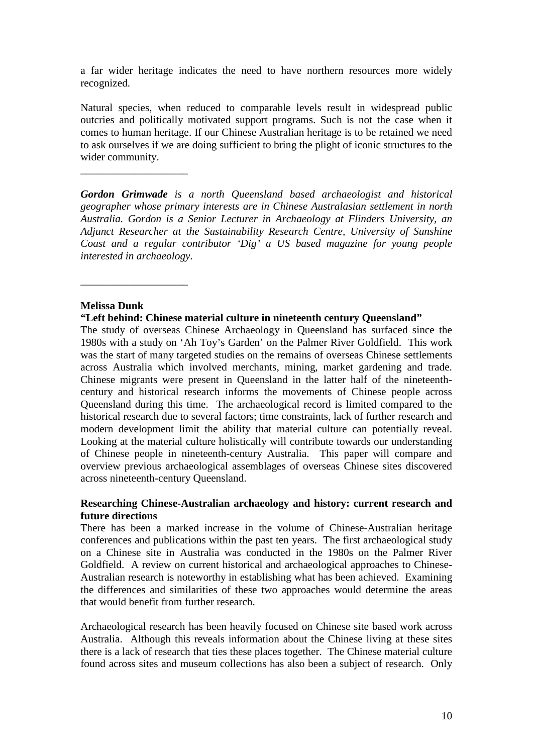a far wider heritage indicates the need to have northern resources more widely recognized.

Natural species, when reduced to comparable levels result in widespread public outcries and politically motivated support programs. Such is not the case when it comes to human heritage. If our Chinese Australian heritage is to be retained we need to ask ourselves if we are doing sufficient to bring the plight of iconic structures to the wider community.

*Gordon Grimwade is a north Queensland based archaeologist and historical geographer whose primary interests are in Chinese Australasian settlement in north Australia. Gordon is a Senior Lecturer in Archaeology at Flinders University, an Adjunct Researcher at the Sustainability Research Centre, University of Sunshine Coast and a regular contributor 'Dig' a US based magazine for young people interested in archaeology.*

### **Melissa Dunk**

\_\_\_\_\_\_\_\_\_\_\_\_\_\_\_\_\_\_\_\_

\_\_\_\_\_\_\_\_\_\_\_\_\_\_\_\_\_\_\_\_

## **"Left behind: Chinese material culture in nineteenth century Queensland"**

The study of overseas Chinese Archaeology in Queensland has surfaced since the 1980s with a study on 'Ah Toy's Garden' on the Palmer River Goldfield. This work was the start of many targeted studies on the remains of overseas Chinese settlements across Australia which involved merchants, mining, market gardening and trade. Chinese migrants were present in Queensland in the latter half of the nineteenthcentury and historical research informs the movements of Chinese people across Queensland during this time. The archaeological record is limited compared to the historical research due to several factors; time constraints, lack of further research and modern development limit the ability that material culture can potentially reveal. Looking at the material culture holistically will contribute towards our understanding of Chinese people in nineteenth-century Australia. This paper will compare and overview previous archaeological assemblages of overseas Chinese sites discovered across nineteenth-century Queensland.

## **Researching Chinese-Australian archaeology and history: current research and future directions**

There has been a marked increase in the volume of Chinese-Australian heritage conferences and publications within the past ten years. The first archaeological study on a Chinese site in Australia was conducted in the 1980s on the Palmer River Goldfield. A review on current historical and archaeological approaches to Chinese-Australian research is noteworthy in establishing what has been achieved. Examining the differences and similarities of these two approaches would determine the areas that would benefit from further research.

Archaeological research has been heavily focused on Chinese site based work across Australia. Although this reveals information about the Chinese living at these sites there is a lack of research that ties these places together. The Chinese material culture found across sites and museum collections has also been a subject of research. Only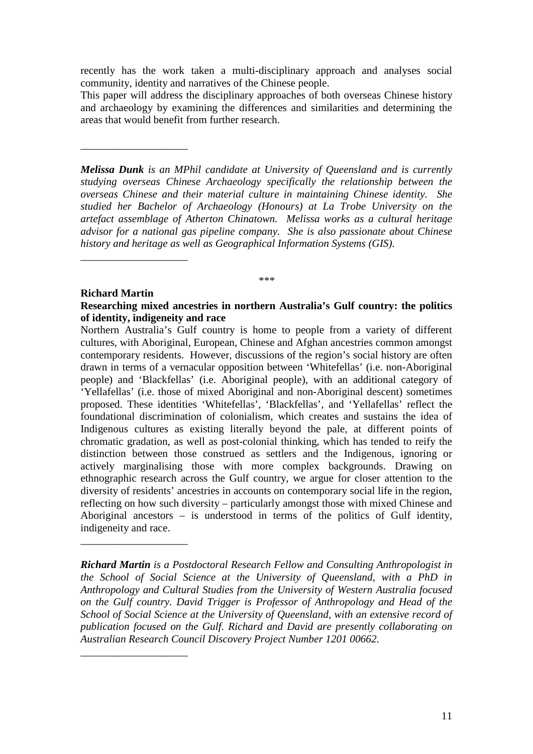recently has the work taken a multi-disciplinary approach and analyses social community, identity and narratives of the Chinese people.

This paper will address the disciplinary approaches of both overseas Chinese history and archaeology by examining the differences and similarities and determining the areas that would benefit from further research.

*Melissa Dunk is an MPhil candidate at University of Queensland and is currently studying overseas Chinese Archaeology specifically the relationship between the overseas Chinese and their material culture in maintaining Chinese identity. She studied her Bachelor of Archaeology (Honours) at La Trobe University on the artefact assemblage of Atherton Chinatown. Melissa works as a cultural heritage advisor for a national gas pipeline company. She is also passionate about Chinese history and heritage as well as Geographical Information Systems (GIS).* 

### **Richard Martin**

\_\_\_\_\_\_\_\_\_\_\_\_\_\_\_\_\_\_\_\_

\_\_\_\_\_\_\_\_\_\_\_\_\_\_\_\_\_\_\_\_

\_\_\_\_\_\_\_\_\_\_\_\_\_\_\_\_\_\_\_\_

\_\_\_\_\_\_\_\_\_\_\_\_\_\_\_\_\_\_\_\_

**Researching mixed ancestries in northern Australia's Gulf country: the politics of identity, indigeneity and race**

*\*\*\**

Northern Australia's Gulf country is home to people from a variety of different cultures, with Aboriginal, European, Chinese and Afghan ancestries common amongst contemporary residents. However, discussions of the region's social history are often drawn in terms of a vernacular opposition between 'Whitefellas' (i.e. non-Aboriginal people) and 'Blackfellas' (i.e. Aboriginal people), with an additional category of 'Yellafellas' (i.e. those of mixed Aboriginal and non-Aboriginal descent) sometimes proposed. These identities 'Whitefellas', 'Blackfellas', and 'Yellafellas' reflect the foundational discrimination of colonialism, which creates and sustains the idea of Indigenous cultures as existing literally beyond the pale, at different points of chromatic gradation, as well as post-colonial thinking, which has tended to reify the distinction between those construed as settlers and the Indigenous, ignoring or actively marginalising those with more complex backgrounds. Drawing on ethnographic research across the Gulf country, we argue for closer attention to the diversity of residents' ancestries in accounts on contemporary social life in the region, reflecting on how such diversity – particularly amongst those with mixed Chinese and Aboriginal ancestors – is understood in terms of the politics of Gulf identity, indigeneity and race.

*Richard Martin is a Postdoctoral Research Fellow and Consulting Anthropologist in the School of Social Science at the University of Queensland, with a PhD in Anthropology and Cultural Studies from the University of Western Australia focused on the Gulf country. David Trigger is Professor of Anthropology and Head of the School of Social Science at the University of Queensland, with an extensive record of publication focused on the Gulf. Richard and David are presently collaborating on Australian Research Council Discovery Project Number 1201 00662.*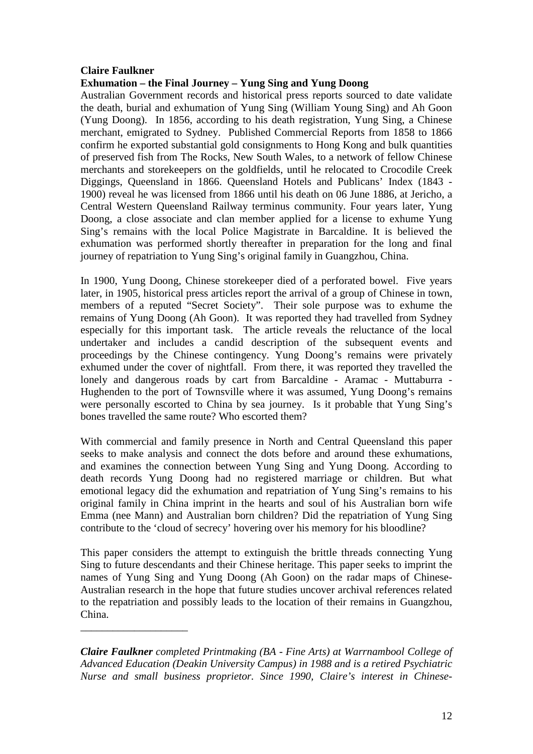## **Claire Faulkner**

\_\_\_\_\_\_\_\_\_\_\_\_\_\_\_\_\_\_\_\_

## **Exhumation – the Final Journey – Yung Sing and Yung Doong**

Australian Government records and historical press reports sourced to date validate the death, burial and exhumation of Yung Sing (William Young Sing) and Ah Goon (Yung Doong). In 1856, according to his death registration, Yung Sing, a Chinese merchant, emigrated to Sydney. Published Commercial Reports from 1858 to 1866 confirm he exported substantial gold consignments to Hong Kong and bulk quantities of preserved fish from The Rocks, New South Wales, to a network of fellow Chinese merchants and storekeepers on the goldfields, until he relocated to Crocodile Creek Diggings, Queensland in 1866. Queensland Hotels and Publicans' Index (1843 - 1900) reveal he was licensed from 1866 until his death on 06 June 1886, at Jericho, a Central Western Queensland Railway terminus community. Four years later, Yung Doong, a close associate and clan member applied for a license to exhume Yung Sing's remains with the local Police Magistrate in Barcaldine. It is believed the exhumation was performed shortly thereafter in preparation for the long and final journey of repatriation to Yung Sing's original family in Guangzhou, China.

In 1900, Yung Doong, Chinese storekeeper died of a perforated bowel. Five years later, in 1905, historical press articles report the arrival of a group of Chinese in town, members of a reputed "Secret Society". Their sole purpose was to exhume the remains of Yung Doong (Ah Goon). It was reported they had travelled from Sydney especially for this important task. The article reveals the reluctance of the local undertaker and includes a candid description of the subsequent events and proceedings by the Chinese contingency. Yung Doong's remains were privately exhumed under the cover of nightfall. From there, it was reported they travelled the lonely and dangerous roads by cart from Barcaldine - Aramac - Muttaburra -Hughenden to the port of Townsville where it was assumed, Yung Doong's remains were personally escorted to China by sea journey. Is it probable that Yung Sing's bones travelled the same route? Who escorted them?

With commercial and family presence in North and Central Queensland this paper seeks to make analysis and connect the dots before and around these exhumations, and examines the connection between Yung Sing and Yung Doong. According to death records Yung Doong had no registered marriage or children. But what emotional legacy did the exhumation and repatriation of Yung Sing's remains to his original family in China imprint in the hearts and soul of his Australian born wife Emma (nee Mann) and Australian born children? Did the repatriation of Yung Sing contribute to the 'cloud of secrecy' hovering over his memory for his bloodline?

This paper considers the attempt to extinguish the brittle threads connecting Yung Sing to future descendants and their Chinese heritage. This paper seeks to imprint the names of Yung Sing and Yung Doong (Ah Goon) on the radar maps of Chinese-Australian research in the hope that future studies uncover archival references related to the repatriation and possibly leads to the location of their remains in Guangzhou, China.

*Claire Faulkner completed Printmaking (BA - Fine Arts) at Warrnambool College of Advanced Education (Deakin University Campus) in 1988 and is a retired Psychiatric Nurse and small business proprietor. Since 1990, Claire's interest in Chinese-*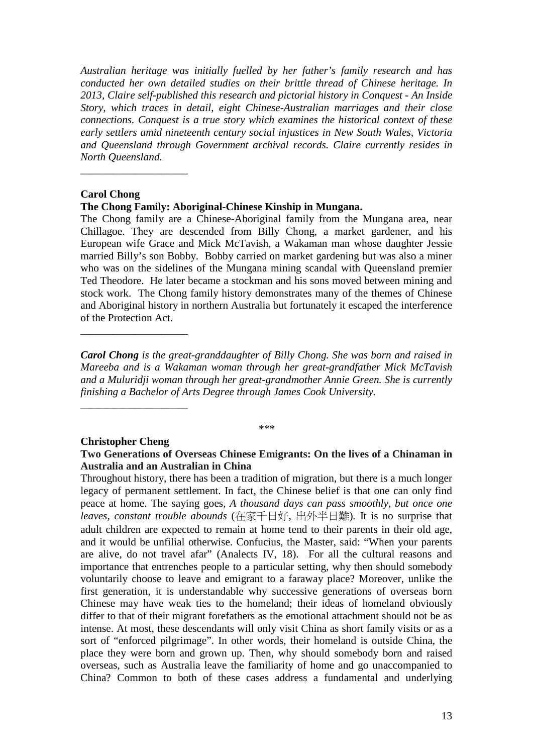*Australian heritage was initially fuelled by her father's family research and has conducted her own detailed studies on their brittle thread of Chinese heritage. In 2013, Claire self-published this research and pictorial history in Conquest - An Inside Story, which traces in detail, eight Chinese-Australian marriages and their close connections. Conquest is a true story which examines the historical context of these early settlers amid nineteenth century social injustices in New South Wales, Victoria and Queensland through Government archival records. Claire currently resides in North Queensland.*

### **Carol Chong**

\_\_\_\_\_\_\_\_\_\_\_\_\_\_\_\_\_\_\_\_

**The Chong Family: Aboriginal-Chinese Kinship in Mungana.**

The Chong family are a Chinese-Aboriginal family from the Mungana area, near Chillagoe. They are descended from Billy Chong, a market gardener, and his European wife Grace and Mick McTavish, a Wakaman man whose daughter Jessie married Billy's son Bobby. Bobby carried on market gardening but was also a miner who was on the sidelines of the Mungana mining scandal with Queensland premier Ted Theodore. He later became a stockman and his sons moved between mining and stock work. The Chong family history demonstrates many of the themes of Chinese and Aboriginal history in northern Australia but fortunately it escaped the interference of the Protection Act.

*Carol Chong is the great-granddaughter of Billy Chong. She was born and raised in Mareeba and is a Wakaman woman through her great-grandfather Mick McTavish and a Muluridji woman through her great-grandmother Annie Green. She is currently finishing a Bachelor of Arts Degree through James Cook University.*

*\*\*\**

#### **Christopher Cheng**

\_\_\_\_\_\_\_\_\_\_\_\_\_\_\_\_\_\_\_\_

\_\_\_\_\_\_\_\_\_\_\_\_\_\_\_\_\_\_\_\_

## **Two Generations of Overseas Chinese Emigrants: On the lives of a Chinaman in Australia and an Australian in China**

Throughout history, there has been a tradition of migration, but there is a much longer legacy of permanent settlement. In fact, the Chinese belief is that one can only find peace at home. The saying goes, *A thousand days can pass smoothly, but once one leaves, constant trouble abounds* (在家千日好, 出外半日難)*.* It is no surprise that adult children are expected to remain at home tend to their parents in their old age, and it would be unfilial otherwise. Confucius, the Master, said: "When your parents are alive, do not travel afar" (Analects IV, 18). For all the cultural reasons and importance that entrenches people to a particular setting, why then should somebody voluntarily choose to leave and emigrant to a faraway place? Moreover, unlike the first generation, it is understandable why successive generations of overseas born Chinese may have weak ties to the homeland; their ideas of homeland obviously differ to that of their migrant forefathers as the emotional attachment should not be as intense. At most, these descendants will only visit China as short family visits or as a sort of "enforced pilgrimage". In other words, their homeland is outside China, the place they were born and grown up. Then, why should somebody born and raised overseas, such as Australia leave the familiarity of home and go unaccompanied to China? Common to both of these cases address a fundamental and underlying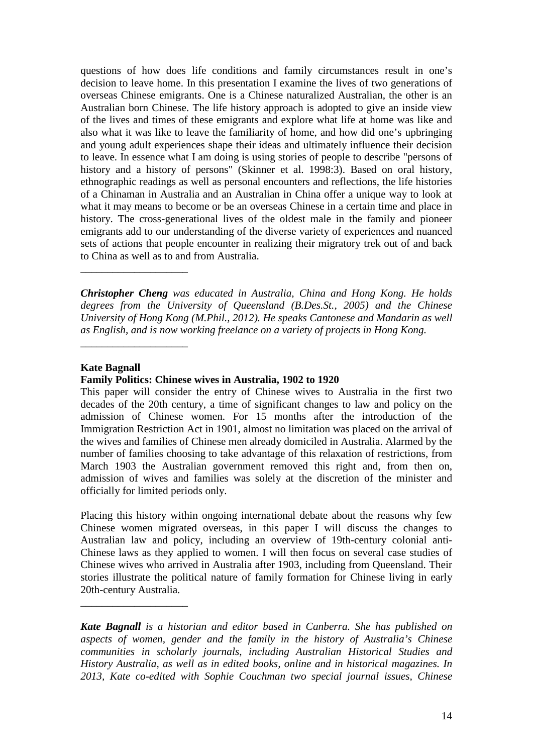questions of how does life conditions and family circumstances result in one's decision to leave home. In this presentation I examine the lives of two generations of overseas Chinese emigrants. One is a Chinese naturalized Australian, the other is an Australian born Chinese. The life history approach is adopted to give an inside view of the lives and times of these emigrants and explore what life at home was like and also what it was like to leave the familiarity of home, and how did one's upbringing and young adult experiences shape their ideas and ultimately influence their decision to leave. In essence what I am doing is using stories of people to describe "persons of history and a history of persons" (Skinner et al. 1998:3). Based on oral history, ethnographic readings as well as personal encounters and reflections, the life histories of a Chinaman in Australia and an Australian in China offer a unique way to look at what it may means to become or be an overseas Chinese in a certain time and place in history. The cross-generational lives of the oldest male in the family and pioneer emigrants add to our understanding of the diverse variety of experiences and nuanced sets of actions that people encounter in realizing their migratory trek out of and back to China as well as to and from Australia.

*Christopher Cheng was educated in Australia, China and Hong Kong. He holds degrees from the University of Queensland (B.Des.St., 2005) and the Chinese University of Hong Kong (M.Phil., 2012). He speaks Cantonese and Mandarin as well as English, and is now working freelance on a variety of projects in Hong Kong.*

## **Kate Bagnall**

\_\_\_\_\_\_\_\_\_\_\_\_\_\_\_\_\_\_\_\_

\_\_\_\_\_\_\_\_\_\_\_\_\_\_\_\_\_\_\_\_

\_\_\_\_\_\_\_\_\_\_\_\_\_\_\_\_\_\_\_\_

#### **Family Politics: Chinese wives in Australia, 1902 to 1920**

This paper will consider the entry of Chinese wives to Australia in the first two decades of the 20th century, a time of significant changes to law and policy on the admission of Chinese women. For 15 months after the introduction of the Immigration Restriction Act in 1901, almost no limitation was placed on the arrival of the wives and families of Chinese men already domiciled in Australia. Alarmed by the number of families choosing to take advantage of this relaxation of restrictions, from March 1903 the Australian government removed this right and, from then on, admission of wives and families was solely at the discretion of the minister and officially for limited periods only.

Placing this history within ongoing international debate about the reasons why few Chinese women migrated overseas, in this paper I will discuss the changes to Australian law and policy, including an overview of 19th-century colonial anti-Chinese laws as they applied to women. I will then focus on several case studies of Chinese wives who arrived in Australia after 1903, including from Queensland. Their stories illustrate the political nature of family formation for Chinese living in early 20th-century Australia.

*Kate Bagnall is a historian and editor based in Canberra. She has published on aspects of women, gender and the family in the history of Australia's Chinese communities in scholarly journals, including Australian Historical Studies and History Australia, as well as in edited books, online and in historical magazines. In 2013, Kate co-edited with Sophie Couchman two special journal issues, Chinese*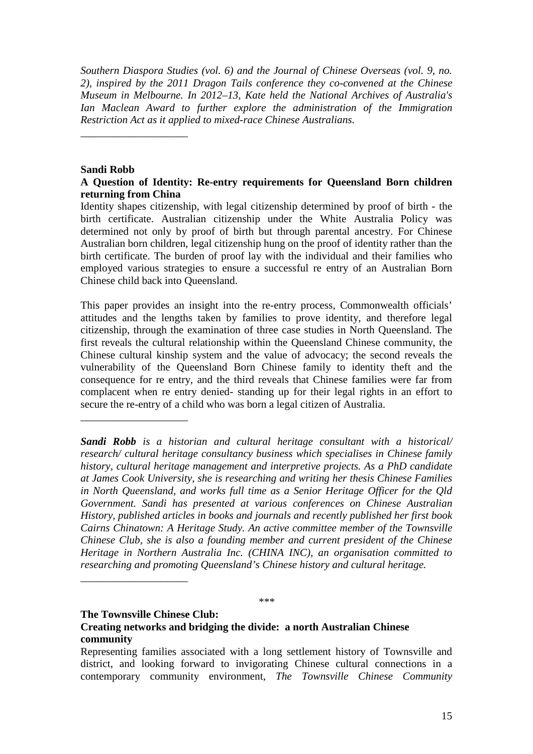*Southern Diaspora Studies (vol. 6) and the Journal of Chinese Overseas (vol. 9, no. 2), inspired by the 2011 Dragon Tails conference they co-convened at the Chinese Museum in Melbourne. In 2012–13, Kate held the National Archives of Australia's Ian Maclean Award to further explore the administration of the Immigration Restriction Act as it applied to mixed-race Chinese Australians.*

## **Sandi Robb**

\_\_\_\_\_\_\_\_\_\_\_\_\_\_\_\_\_\_\_\_

\_\_\_\_\_\_\_\_\_\_\_\_\_\_\_\_\_\_\_\_

\_\_\_\_\_\_\_\_\_\_\_\_\_\_\_\_\_\_\_\_

## **A Question of Identity: Re-entry requirements for Queensland Born children returning from China**

Identity shapes citizenship, with legal citizenship determined by proof of birth - the birth certificate. Australian citizenship under the White Australia Policy was determined not only by proof of birth but through parental ancestry. For Chinese Australian born children, legal citizenship hung on the proof of identity rather than the birth certificate. The burden of proof lay with the individual and their families who employed various strategies to ensure a successful re entry of an Australian Born Chinese child back into Queensland.

This paper provides an insight into the re-entry process, Commonwealth officials' attitudes and the lengths taken by families to prove identity, and therefore legal citizenship, through the examination of three case studies in North Queensland. The first reveals the cultural relationship within the Queensland Chinese community, the Chinese cultural kinship system and the value of advocacy; the second reveals the vulnerability of the Queensland Born Chinese family to identity theft and the consequence for re entry, and the third reveals that Chinese families were far from complacent when re entry denied- standing up for their legal rights in an effort to secure the re-entry of a child who was born a legal citizen of Australia.

*Sandi Robb is a historian and cultural heritage consultant with a historical/ research/ cultural heritage consultancy business which specialises in Chinese family history, cultural heritage management and interpretive projects. As a PhD candidate at James Cook University, she is researching and writing her thesis Chinese Families in North Queensland, and works full time as a Senior Heritage Officer for the Qld Government. Sandi has presented at various conferences on Chinese Australian History, published articles in books and journals and recently published her first book Cairns Chinatown: A Heritage Study. An active committee member of the Townsville Chinese Club, she is also a founding member and current president of the Chinese Heritage in Northern Australia Inc. (CHINA INC), an organisation committed to researching and promoting Queensland's Chinese history and cultural heritage.*

*\*\*\**

### **The Townsville Chinese Club: Creating networks and bridging the divide: a north Australian Chinese community**

Representing families associated with a long settlement history of Townsville and district, and looking forward to invigorating Chinese cultural connections in a contemporary community environment, *The Townsville Chinese Community*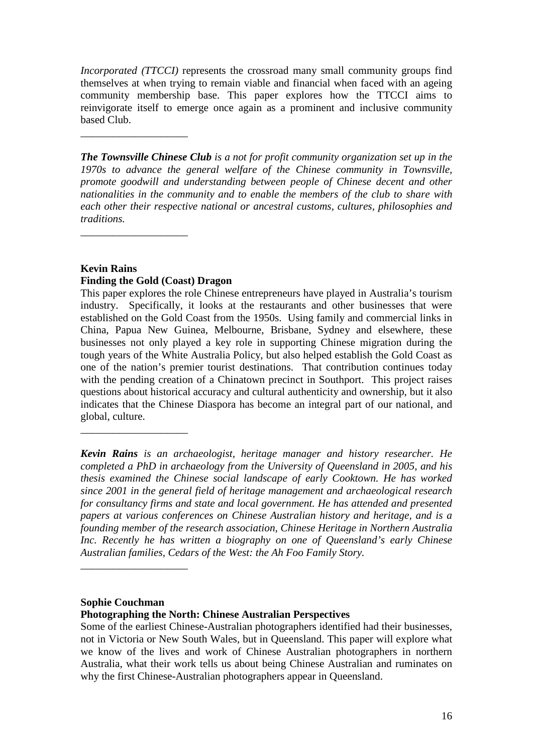*Incorporated (TTCCI)* represents the crossroad many small community groups find themselves at when trying to remain viable and financial when faced with an ageing community membership base. This paper explores how the TTCCI aims to reinvigorate itself to emerge once again as a prominent and inclusive community based Club.

*The Townsville Chinese Club is a not for profit community organization set up in the 1970s to advance the general welfare of the Chinese community in Townsville, promote goodwill and understanding between people of Chinese decent and other nationalities in the community and to enable the members of the club to share with each other their respective national or ancestral customs, cultures, philosophies and traditions.* 

## **Kevin Rains**

\_\_\_\_\_\_\_\_\_\_\_\_\_\_\_\_\_\_\_\_

\_\_\_\_\_\_\_\_\_\_\_\_\_\_\_\_\_\_\_\_

\_\_\_\_\_\_\_\_\_\_\_\_\_\_\_\_\_\_\_\_

## **Finding the Gold (Coast) Dragon**

This paper explores the role Chinese entrepreneurs have played in Australia's tourism industry. Specifically, it looks at the restaurants and other businesses that were established on the Gold Coast from the 1950s. Using family and commercial links in China, Papua New Guinea, Melbourne, Brisbane, Sydney and elsewhere, these businesses not only played a key role in supporting Chinese migration during the tough years of the White Australia Policy, but also helped establish the Gold Coast as one of the nation's premier tourist destinations. That contribution continues today with the pending creation of a Chinatown precinct in Southport. This project raises questions about historical accuracy and cultural authenticity and ownership, but it also indicates that the Chinese Diaspora has become an integral part of our national, and global, culture.

*Kevin Rains is an archaeologist, heritage manager and history researcher. He completed a PhD in archaeology from the University of Queensland in 2005, and his thesis examined the Chinese social landscape of early Cooktown. He has worked since 2001 in the general field of heritage management and archaeological research for consultancy firms and state and local government. He has attended and presented papers at various conferences on Chinese Australian history and heritage, and is a founding member of the research association, Chinese Heritage in Northern Australia Inc. Recently he has written a biography on one of Queensland's early Chinese Australian families, Cedars of the West: the Ah Foo Family Story.*

## **Sophie Couchman**

\_\_\_\_\_\_\_\_\_\_\_\_\_\_\_\_\_\_\_\_

## **Photographing the North: Chinese Australian Perspectives**

Some of the earliest Chinese-Australian photographers identified had their businesses, not in Victoria or New South Wales, but in Queensland. This paper will explore what we know of the lives and work of Chinese Australian photographers in northern Australia, what their work tells us about being Chinese Australian and ruminates on why the first Chinese-Australian photographers appear in Queensland.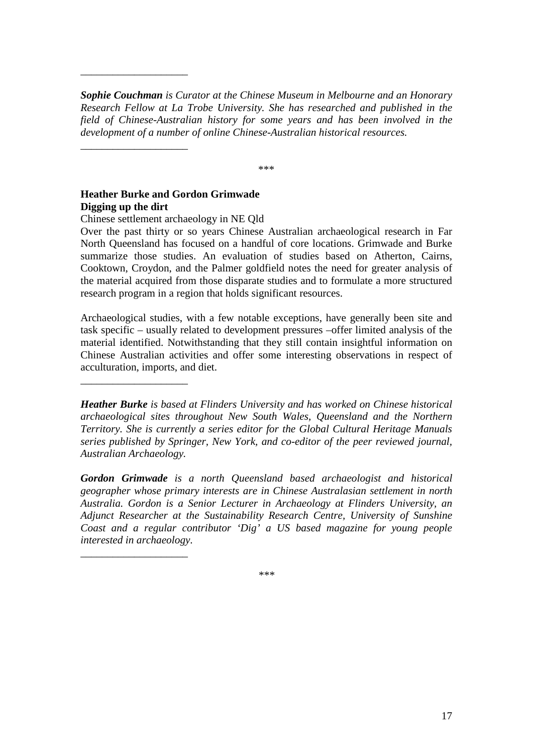*Sophie Couchman is Curator at the Chinese Museum in Melbourne and an Honorary Research Fellow at La Trobe University. She has researched and published in the field of Chinese-Australian history for some years and has been involved in the development of a number of online Chinese-Australian historical resources.*

\*\*\*

## **Heather Burke and Gordon Grimwade Digging up the dirt**

\_\_\_\_\_\_\_\_\_\_\_\_\_\_\_\_\_\_\_\_

\_\_\_\_\_\_\_\_\_\_\_\_\_\_\_\_\_\_\_\_

\_\_\_\_\_\_\_\_\_\_\_\_\_\_\_\_\_\_\_\_

\_\_\_\_\_\_\_\_\_\_\_\_\_\_\_\_\_\_\_\_

Chinese settlement archaeology in NE Qld

Over the past thirty or so years Chinese Australian archaeological research in Far North Queensland has focused on a handful of core locations. Grimwade and Burke summarize those studies. An evaluation of studies based on Atherton, Cairns, Cooktown, Croydon, and the Palmer goldfield notes the need for greater analysis of the material acquired from those disparate studies and to formulate a more structured research program in a region that holds significant resources.

Archaeological studies, with a few notable exceptions, have generally been site and task specific – usually related to development pressures –offer limited analysis of the material identified. Notwithstanding that they still contain insightful information on Chinese Australian activities and offer some interesting observations in respect of acculturation, imports, and diet.

*Heather Burke is based at Flinders University and has worked on Chinese historical archaeological sites throughout New South Wales, Queensland and the Northern Territory. She is currently a series editor for the Global Cultural Heritage Manuals series published by Springer, New York, and co-editor of the peer reviewed journal, Australian Archaeology.*

*Gordon Grimwade is a north Queensland based archaeologist and historical geographer whose primary interests are in Chinese Australasian settlement in north Australia. Gordon is a Senior Lecturer in Archaeology at Flinders University, an Adjunct Researcher at the Sustainability Research Centre, University of Sunshine Coast and a regular contributor 'Dig' a US based magazine for young people interested in archaeology.*

*\*\*\**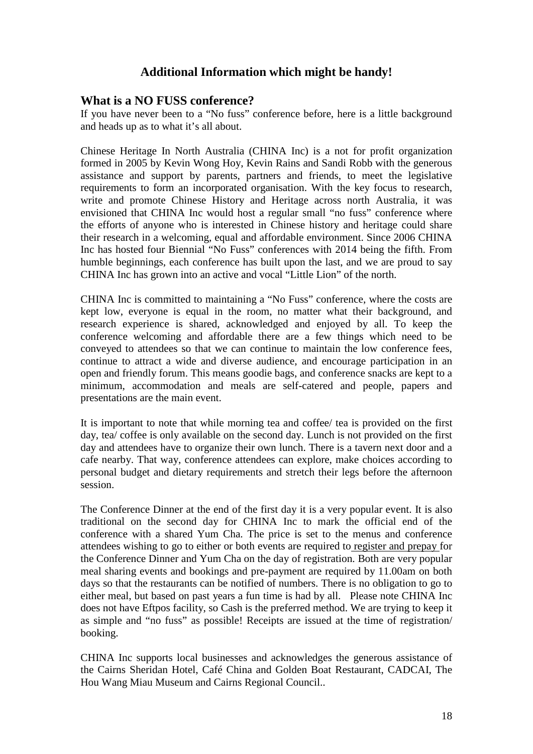# **Additional Information which might be handy!**

## **What is a NO FUSS conference?**

If you have never been to a "No fuss" conference before, here is a little background and heads up as to what it's all about.

Chinese Heritage In North Australia (CHINA Inc) is a not for profit organization formed in 2005 by Kevin Wong Hoy, Kevin Rains and Sandi Robb with the generous assistance and support by parents, partners and friends, to meet the legislative requirements to form an incorporated organisation. With the key focus to research, write and promote Chinese History and Heritage across north Australia, it was envisioned that CHINA Inc would host a regular small "no fuss" conference where the efforts of anyone who is interested in Chinese history and heritage could share their research in a welcoming, equal and affordable environment. Since 2006 CHINA Inc has hosted four Biennial "No Fuss" conferences with 2014 being the fifth. From humble beginnings, each conference has built upon the last, and we are proud to say CHINA Inc has grown into an active and vocal "Little Lion" of the north.

CHINA Inc is committed to maintaining a "No Fuss" conference, where the costs are kept low, everyone is equal in the room, no matter what their background, and research experience is shared, acknowledged and enjoyed by all. To keep the conference welcoming and affordable there are a few things which need to be conveyed to attendees so that we can continue to maintain the low conference fees, continue to attract a wide and diverse audience, and encourage participation in an open and friendly forum. This means goodie bags, and conference snacks are kept to a minimum, accommodation and meals are self-catered and people, papers and presentations are the main event.

It is important to note that while morning tea and coffee/ tea is provided on the first day, tea/ coffee is only available on the second day. Lunch is not provided on the first day and attendees have to organize their own lunch. There is a tavern next door and a cafe nearby. That way, conference attendees can explore, make choices according to personal budget and dietary requirements and stretch their legs before the afternoon session.

The Conference Dinner at the end of the first day it is a very popular event. It is also traditional on the second day for CHINA Inc to mark the official end of the conference with a shared Yum Cha. The price is set to the menus and conference attendees wishing to go to either or both events are required to register and prepay for the Conference Dinner and Yum Cha on the day of registration. Both are very popular meal sharing events and bookings and pre-payment are required by 11.00am on both days so that the restaurants can be notified of numbers. There is no obligation to go to either meal, but based on past years a fun time is had by all. Please note CHINA Inc does not have Eftpos facility, so Cash is the preferred method. We are trying to keep it as simple and "no fuss" as possible! Receipts are issued at the time of registration/ booking.

CHINA Inc supports local businesses and acknowledges the generous assistance of the Cairns Sheridan Hotel, Café China and Golden Boat Restaurant, CADCAI, The Hou Wang Miau Museum and Cairns Regional Council..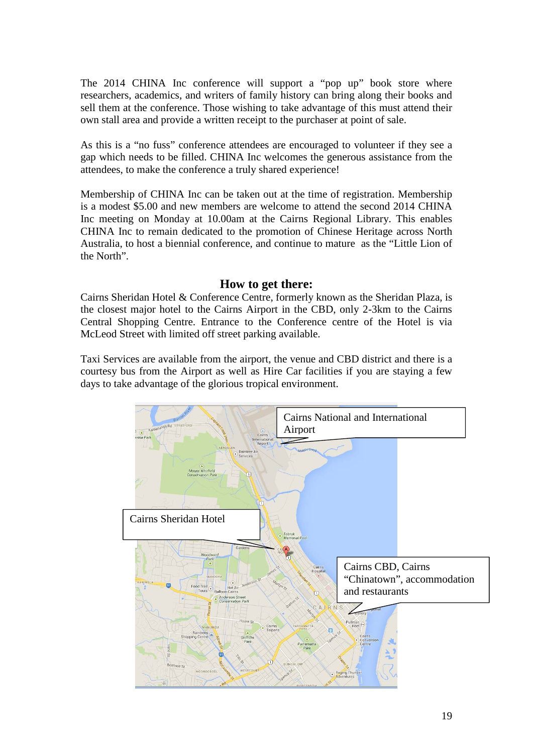The 2014 CHINA Inc conference will support a "pop up" book store where researchers, academics, and writers of family history can bring along their books and sell them at the conference. Those wishing to take advantage of this must attend their own stall area and provide a written receipt to the purchaser at point of sale.

As this is a "no fuss" conference attendees are encouraged to volunteer if they see a gap which needs to be filled. CHINA Inc welcomes the generous assistance from the attendees, to make the conference a truly shared experience!

Membership of CHINA Inc can be taken out at the time of registration. Membership is a modest \$5.00 and new members are welcome to attend the second 2014 CHINA Inc meeting on Monday at 10.00am at the Cairns Regional Library. This enables CHINA Inc to remain dedicated to the promotion of Chinese Heritage across North Australia, to host a biennial conference, and continue to mature as the "Little Lion of the North".

## **How to get there:**

Cairns Sheridan Hotel & Conference Centre, formerly known as the Sheridan Plaza, is the closest major hotel to the Cairns Airport in the CBD, only 2-3km to the Cairns Central Shopping Centre. Entrance to the Conference centre of the Hotel is via McLeod Street with limited off street parking available.

Taxi Services are available from the airport, the venue and CBD district and there is a courtesy bus from the Airport as well as Hire Car facilities if you are staying a few days to take advantage of the glorious tropical environment.